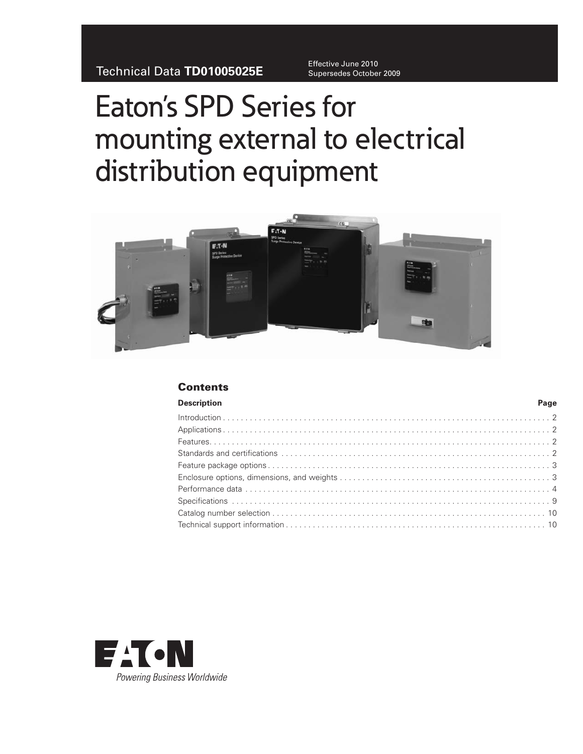Effective June 2010

# Eaton's SPD Series for mounting external to electrical distribution equipment



# **Contents**

| Description | Page |
|-------------|------|
|             |      |
|             |      |
|             |      |
|             |      |
|             |      |
|             |      |
|             |      |
|             |      |
|             |      |
|             |      |
|             |      |

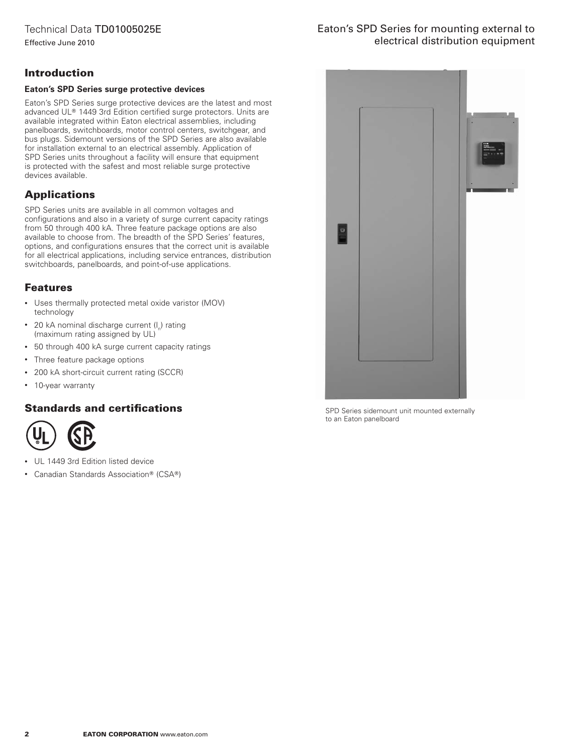# Eaton's SPD Series for mounting external to electrical distribution equipment

# Introduction

#### **Eaton's SPD Series surge protective devices**

Eaton's SPD Series surge protective devices are the latest and most advanced UL® 1449 3rd Edition certified surge protectors. Units are available integrated within Eaton electrical assemblies, including panelboards, switchboards, motor control centers, switchgear, and bus plugs. Sidemount versions of the SPD Series are also available for installation external to an electrical assembly. Application of SPD Series units throughout a facility will ensure that equipment is protected with the safest and most reliable surge protective devices available.

# **Applications**

SPD Series units are available in all common voltages and configurations and also in a variety of surge current capacity ratings from 50 through 400 kA. Three feature package options are also available to choose from. The breadth of the SPD Series' features, options, and configurations ensures that the correct unit is available for all electrical applications, including service entrances, distribution switchboards, panelboards, and point-of-use applications.

# Features

- • Uses thermally protected metal oxide varistor (MOV) technology
- 20 kA nominal discharge current  $(I_n)$  rating (maximum rating assigned by UL)
- 50 through 400 kA surge current capacity ratings
- Three feature package options
- • 200 kA short-circuit current rating (SCCR)
- • 10-year warranty

# Standards and certifications



- UL 1449 3rd Edition listed device
- Canadian Standards Association® (CSA®)



SPD Series sidemount unit mounted externally to an Eaton panelboard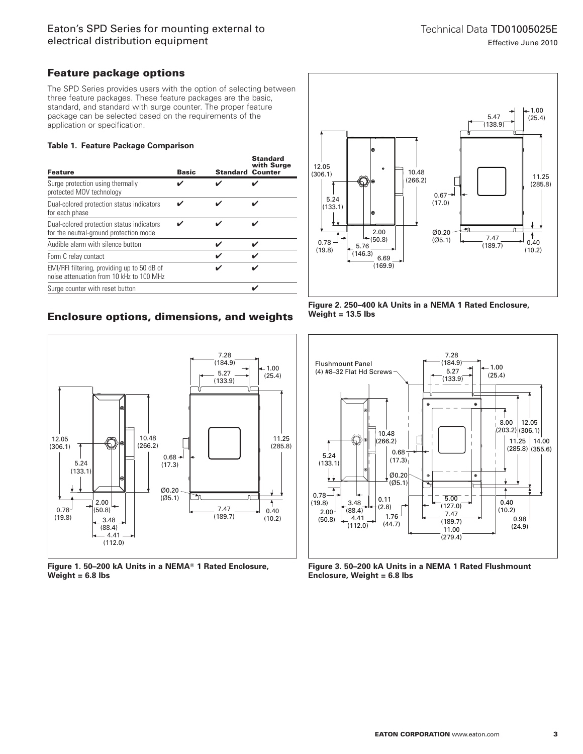# Feature package options

The SPD Series provides users with the option of selecting between three feature packages. These feature packages are the basic, standard, and standard with surge counter. The proper feature package can be selected based on the requirements of the application or specification.

#### **Table 1. Feature Package Comparison**

| <b>Feature</b>                                                                          | <b>Basic</b> | <b>Standard Counter</b> | <b>Standard</b><br>with Surge |
|-----------------------------------------------------------------------------------------|--------------|-------------------------|-------------------------------|
| Surge protection using thermally<br>protected MOV technology                            |              |                         |                               |
| Dual-colored protection status indicators<br>for each phase                             |              |                         |                               |
| Dual-colored protection status indicators<br>for the neutral-ground protection mode     |              |                         |                               |
| Audible alarm with silence button                                                       |              | $\overline{\mathbf{v}}$ |                               |
| Form C relay contact                                                                    |              | ✔                       |                               |
| EMI/RFI filtering, providing up to 50 dB of<br>noise attenuation from 10 kHz to 100 MHz |              |                         |                               |
| Surge counter with reset button                                                         |              |                         |                               |
|                                                                                         |              |                         |                               |

# Enclosure options, dimensions, and weights



Figure 1. 50-200 kA Units in a NEMA<sup>®</sup> 1 Rated Enclosure, **Weight = 6.8 lbs**



**Figure 2. 250–400 kA Units in a NEMA 1 Rated Enclosure, Weight = 13.5 lbs**



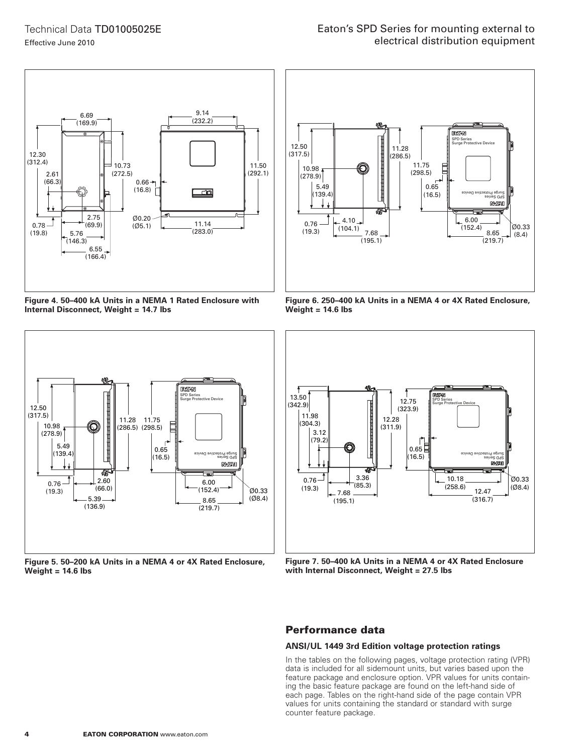

**Figure 4. 50–400 kA Units in a NEMA 1 Rated Enclosure with Internal Disconnect, Weight = 14.7 lbs**



**Figure 5. 50–200 kA Units in a NEMA 4 or 4X Rated Enclosure, Weight = 14.6 lbs**



**Figure 6. 250–400 kA Units in a NEMA 4 or 4X Rated Enclosure, Weight = 14.6 lbs**



**Figure 7. 50–400 kA Units in a NEMA 4 or 4X Rated Enclosure with Internal Disconnect, Weight = 27.5 lbs**

## Performance data

#### **ANSI/UL 1449 3rd Edition voltage protection ratings**

In the tables on the following pages, voltage protection rating (VPR) data is included for all sidemount units, but varies based upon the feature package and enclosure option. VPR values for units containing the basic feature package are found on the left-hand side of each page. Tables on the right-hand side of the page contain VPR values for units containing the standard or standard with surge counter feature package.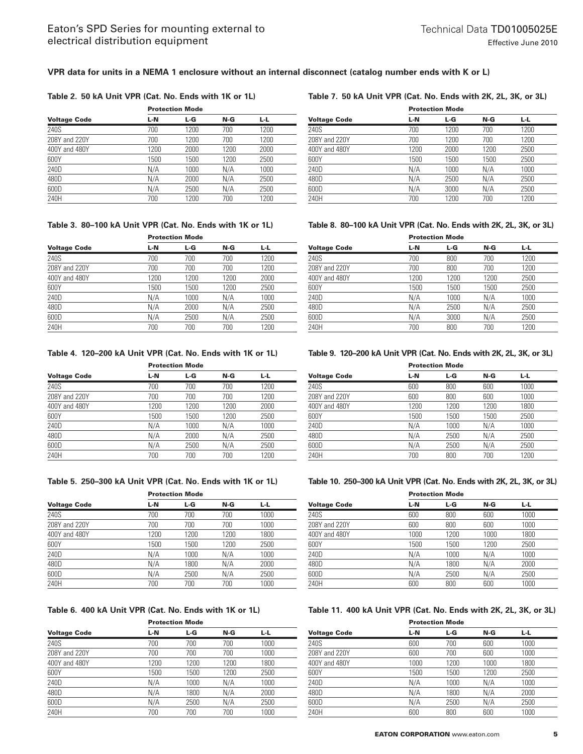#### **VPR data for units in a NEMA 1 enclosure without an internal disconnect (catalog number ends with K or L)**

#### **Table 2. 50 kA Unit VPR (Cat. No. Ends with 1K or 1L)**

|                     |      | <b>Protection Mode</b> |      |      |  |  |
|---------------------|------|------------------------|------|------|--|--|
| <b>Voltage Code</b> | L-N  | L-G                    | N-G  | 나니   |  |  |
| 240S                | 700  | 1200                   | 700  | 1200 |  |  |
| 208Y and 220Y       | 700  | 1200                   | 700  | 1200 |  |  |
| 400Y and 480Y       | 1200 | 2000                   | 1200 | 2000 |  |  |
| 600Y                | 1500 | 1500                   | 1200 | 2500 |  |  |
| 240D                | N/A  | 1000                   | N/A  | 1000 |  |  |
| 480D                | N/A  | 2000                   | N/A  | 2500 |  |  |
| 600D                | N/A  | 2500                   | N/A  | 2500 |  |  |
| 240H                | 700  | 1200                   | 700  | 1200 |  |  |
|                     |      |                        |      |      |  |  |

### **Table 3. 80–100 kA Unit VPR (Cat. No. Ends with 1K or 1L)**

|                     | <b>Protection Mode</b> |      |      |      |
|---------------------|------------------------|------|------|------|
| <b>Voltage Code</b> | L-N                    | L-G  | N-G  | L-L. |
| 240S                | 700                    | 700  | 700  | 1200 |
| 208Y and 220Y       | 700                    | 700  | 700  | 1200 |
| 400Y and 480Y       | 1200                   | 1200 | 1200 | 2000 |
| 600Y                | 1500                   | 1500 | 1200 | 2500 |
| 240D                | N/A                    | 1000 | N/A  | 1000 |
| 480D                | N/A                    | 2000 | N/A  | 2500 |
| 600D                | N/A                    | 2500 | N/A  | 2500 |
| 240H                | 700                    | 700  | 700  | 1200 |

#### **Table 4. 120–200 kA Unit VPR (Cat. No. Ends with 1K or 1L)**

|                     | <b>Protection Mode</b> |      |       |      |  |
|---------------------|------------------------|------|-------|------|--|
| <b>Voltage Code</b> | L-N                    | L-G  | $N-G$ | L-L  |  |
| 240S                | 700                    | 700  | 700   | 1200 |  |
| 208Y and 220Y       | 700                    | 700  | 700   | 1200 |  |
| 400Y and 480Y       | 1200                   | 1200 | 1200  | 2000 |  |
| 600Y                | 1500                   | 1500 | 1200  | 2500 |  |
| 240D                | N/A                    | 1000 | N/A   | 1000 |  |
| 480D                | N/A                    | 2000 | N/A   | 2500 |  |
| 600D                | N/A                    | 2500 | N/A   | 2500 |  |
| 240H                | 700                    | 700  | 700   | 1200 |  |
|                     |                        |      |       |      |  |

#### **Table 5. 250–300 kA Unit VPR (Cat. No. Ends with 1K or 1L)**

|                     | <b>Protection Mode</b> |      |      |      |  |
|---------------------|------------------------|------|------|------|--|
| <b>Voltage Code</b> | L-N                    | L-G  | N-G  | L-L  |  |
| 240S                | 700                    | 700  | 700  | 1000 |  |
| 208Y and 220Y       | 700                    | 700  | 700  | 1000 |  |
| 400Y and 480Y       | 1200                   | 1200 | 1200 | 1800 |  |
| 600Y                | 1500                   | 1500 | 1200 | 2500 |  |
| 240D                | N/A                    | 1000 | N/A  | 1000 |  |
| 480D                | N/A                    | 1800 | N/A  | 2000 |  |
| 600D                | N/A                    | 2500 | N/A  | 2500 |  |
| 240H                | 700                    | 700  | 700  | 1000 |  |
|                     |                        |      |      |      |  |

#### **Table 6. 400 kA Unit VPR (Cat. No. Ends with 1K or 1L)**

|                     | <b>Protection Mode</b> |      |      |      |  |
|---------------------|------------------------|------|------|------|--|
| <b>Voltage Code</b> | L-N                    | L-G  | N-G  | L-L  |  |
| 240S                | 700                    | 700  | 700  | 1000 |  |
| 208Y and 220Y       | 700                    | 700  | 700  | 1000 |  |
| 400Y and 480Y       | 1200                   | 1200 | 1200 | 1800 |  |
| 600Y                | 1500                   | 1500 | 1200 | 2500 |  |
| 240D                | N/A                    | 1000 | N/A  | 1000 |  |
| 480D                | N/A                    | 1800 | N/A  | 2000 |  |
| 600D                | N/A                    | 2500 | N/A  | 2500 |  |
| 240H                | 700                    | 700  | 700  | 1000 |  |

#### **Table 7. 50 kA Unit VPR (Cat. No. Ends with 2K, 2L, 3K, or 3L)**

|                     | <b>Protection Mode</b> |      |      |      |  |
|---------------------|------------------------|------|------|------|--|
| <b>Voltage Code</b> | L-N                    | L-G  | N-G  | 나니   |  |
| 240S                | 700                    | 1200 | 700  | 1200 |  |
| 208Y and 220Y       | 700                    | 1200 | 700  | 1200 |  |
| 400Y and 480Y       | 1200                   | 2000 | 1200 | 2500 |  |
| 600Y                | 1500                   | 1500 | 1500 | 2500 |  |
| 240D                | N/A                    | 1000 | N/A  | 1000 |  |
| 480D                | N/A                    | 2500 | N/A  | 2500 |  |
| 600D                | N/A                    | 3000 | N/A  | 2500 |  |
| 240H                | 700                    | 1200 | 700  | 1200 |  |

#### **Table 8. 80–100 kA Unit VPR (Cat. No. Ends with 2K, 2L, 3K, or 3L)**

|                     | <b>Protection Mode</b> |      |      |      |  |
|---------------------|------------------------|------|------|------|--|
| <b>Voltage Code</b> | L-N                    | L-G  | N-G  | L-L  |  |
| 240S                | 700                    | 800  | 700  | 1200 |  |
| 208Y and 220Y       | 700                    | 800  | 700  | 1200 |  |
| 400Y and 480Y       | 1200                   | 1200 | 1200 | 2500 |  |
| 600Y                | 1500                   | 1500 | 1500 | 2500 |  |
| 240D                | N/A                    | 1000 | N/A  | 1000 |  |
| 480D                | N/A                    | 2500 | N/A  | 2500 |  |
| 600D                | N/A                    | 3000 | N/A  | 2500 |  |
| 240H                | 700                    | 800  | 700  | 1200 |  |

#### **Table 9. 120–200 kA Unit VPR (Cat. No. Ends with 2K, 2L, 3K, or 3L)**

|                     | <b>Protection Mode</b> |      |      |      |  |
|---------------------|------------------------|------|------|------|--|
| <b>Voltage Code</b> | L-N                    | L-G  | N-G  | L-L. |  |
| 240S                | 600                    | 800  | 600  | 1000 |  |
| 208Y and 220Y       | 600                    | 800  | 600  | 1000 |  |
| 400Y and 480Y       | 1200                   | 1200 | 1200 | 1800 |  |
| 600Y                | 1500                   | 1500 | 1500 | 2500 |  |
| 240D                | N/A                    | 1000 | N/A  | 1000 |  |
| 480D                | N/A                    | 2500 | N/A  | 2500 |  |
| 600D                | N/A                    | 2500 | N/A  | 2500 |  |
| 240H                | 700                    | 800  | 700  | 1200 |  |

#### **Table 10. 250–300 kA Unit VPR (Cat. No. Ends with 2K, 2L, 3K, or 3L)**

|                     | <b>Protection Mode</b> |      |      |      |  |
|---------------------|------------------------|------|------|------|--|
| <b>Voltage Code</b> | L-N                    | L-G  | N-G  | L-L  |  |
| 240S                | 600                    | 800  | 600  | 1000 |  |
| 208Y and 220Y       | 600                    | 800  | 600  | 1000 |  |
| 400Y and 480Y       | 1000                   | 1200 | 1000 | 1800 |  |
| 600Y                | 1500                   | 1500 | 1200 | 2500 |  |
| 240D                | N/A                    | 1000 | N/A  | 1000 |  |
| 480D                | N/A                    | 1800 | N/A  | 2000 |  |
| 600D                | N/A                    | 2500 | N/A  | 2500 |  |
| 240H                | 600                    | 800  | 600  | 1000 |  |

#### **Table 11. 400 kA Unit VPR (Cat. No. Ends with 2K, 2L, 3K, or 3L)**

|                     | <b>Protection Mode</b> |      |      |      |
|---------------------|------------------------|------|------|------|
| <b>Voltage Code</b> | L-N                    | L-G  | N-G  | L-L  |
| 240S                | 600                    | 700  | 600  | 1000 |
| 208Y and 220Y       | 600                    | 700  | 600  | 1000 |
| 400Y and 480Y       | 1000                   | 1200 | 1000 | 1800 |
| 600Y                | 1500                   | 1500 | 1200 | 2500 |
| 240D                | N/A                    | 1000 | N/A  | 1000 |
| 480D                | N/A                    | 1800 | N/A  | 2000 |
| 600D                | N/A                    | 2500 | N/A  | 2500 |
| 240H                | 600                    | 800  | 600  | 1000 |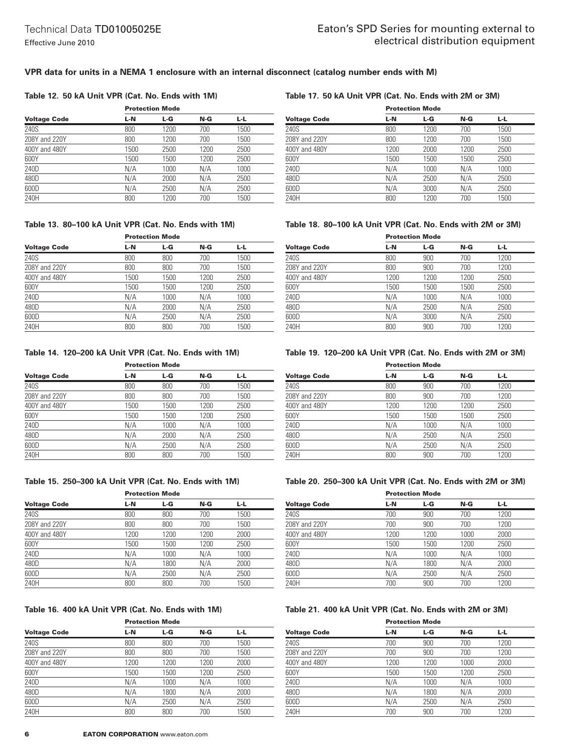#### **VPR data for units in a NEMA 1 enclosure with an internal disconnect (catalog number ends with M)**

#### **Table 12. 50 kA Unit VPR (Cat. No. Ends with 1M)**

|                     |      | <b>Protection Mode</b> |      |      |  |  |
|---------------------|------|------------------------|------|------|--|--|
| <b>Voltage Code</b> | L-N  | L-G                    | N-G  | L-L  |  |  |
| 240S                | 800  | 1200                   | 700  | 1500 |  |  |
| 208Y and 220Y       | 800  | 1200                   | 700  | 1500 |  |  |
| 400Y and 480Y       | 1500 | 2500                   | 1200 | 2500 |  |  |
| 600Y                | 1500 | 1500                   | 1200 | 2500 |  |  |
| 240D                | N/A  | 1000                   | N/A  | 1000 |  |  |
| 480D                | N/A  | 2000                   | N/A  | 2500 |  |  |
| 600D                | N/A  | 2500                   | N/A  | 2500 |  |  |
| 240H                | 800  | 1200                   | 700  | 1500 |  |  |

#### **Table 17. 50 kA Unit VPR (Cat. No. Ends with 2M or 3M)**

|                     | <b>Protection Mode</b> |      |      |      |  |
|---------------------|------------------------|------|------|------|--|
| <b>Voltage Code</b> | L-N                    | L-G  | N-G  | L-L. |  |
| 240S                | 800                    | 1200 | 700  | 1500 |  |
| 208Y and 220Y       | 800                    | 1200 | 700  | 1500 |  |
| 400Y and 480Y       | 1200                   | 2000 | 1200 | 2500 |  |
| 600Y                | 1500                   | 1500 | 1500 | 2500 |  |
| 240D                | N/A                    | 1000 | N/A  | 1000 |  |
| 480D                | N/A                    | 2500 | N/A  | 2500 |  |
| 600D                | N/A                    | 3000 | N/A  | 2500 |  |
| 240H                | 800                    | 1200 | 700  | 1500 |  |

### **Table 13. 80–100 kA Unit VPR (Cat. No. Ends with 1M)**

|                     | <b>Protection Mode</b> |      |      |      |  |
|---------------------|------------------------|------|------|------|--|
| <b>Voltage Code</b> | L-N                    | L-G  | N-G  | L-L  |  |
| 240S                | 800                    | 800  | 700  | 1500 |  |
| 208Y and 220Y       | 800                    | 800  | 700  | 1500 |  |
| 400Y and 480Y       | 1500                   | 1500 | 1200 | 2500 |  |
| 600Y                | 1500                   | 1500 | 1200 | 2500 |  |
| 240D                | N/A                    | 1000 | N/A  | 1000 |  |
| 480D                | N/A                    | 2000 | N/A  | 2500 |  |
| 600D                | N/A                    | 2500 | N/A  | 2500 |  |
| 240H                | 800                    | 800  | 700  | 1500 |  |

#### **Table 14. 120–200 kA Unit VPR (Cat. No. Ends with 1M)**

|                     | <b>Protection Mode</b> |      |      |      |  |
|---------------------|------------------------|------|------|------|--|
| <b>Voltage Code</b> | L-N                    | L-G  | N-G  | L-L  |  |
| 240S                | 800                    | 800  | 700  | 1500 |  |
| 208Y and 220Y       | 800                    | 800  | 700  | 1500 |  |
| 400Y and 480Y       | 1500                   | 1500 | 1200 | 2500 |  |
| 600Y                | 1500                   | 1500 | 1200 | 2500 |  |
| 240D                | N/A                    | 1000 | N/A  | 1000 |  |
| 480D                | N/A                    | 2000 | N/A  | 2500 |  |
| 600D                | N/A                    | 2500 | N/A  | 2500 |  |
| 240H                | 800                    | 800  | 700  | 1500 |  |

#### **Table 15. 250–300 kA Unit VPR (Cat. No. Ends with 1M)**

| <b>Protection Mode</b> |      |      |      |  |
|------------------------|------|------|------|--|
| L-N                    | L-G  | N-G  | L-L. |  |
| 800                    | 800  | 700  | 1500 |  |
| 800                    | 800  | 700  | 1500 |  |
| 1200                   | 1200 | 1200 | 2000 |  |
| 1500                   | 1500 | 1200 | 2500 |  |
| N/A                    | 1000 | N/A  | 1000 |  |
| N/A                    | 1800 | N/A  | 2000 |  |
| N/A                    | 2500 | N/A  | 2500 |  |
| 800                    | 800  | 700  | 1500 |  |
|                        |      |      |      |  |

### **Table 16. 400 kA Unit VPR (Cat. No. Ends with 1M)**

|                     | <b>Protection Mode</b> |      |      |      |  |
|---------------------|------------------------|------|------|------|--|
| <b>Voltage Code</b> | L-N                    | L-G  | N-G  | L-L. |  |
| 240S                | 800                    | 800  | 700  | 1500 |  |
| 208Y and 220Y       | 800                    | 800  | 700  | 1500 |  |
| 400Y and 480Y       | 1200                   | 1200 | 1200 | 2000 |  |
| 600Y                | 1500                   | 1500 | 1200 | 2500 |  |
| 240D                | N/A                    | 1000 | N/A  | 1000 |  |
| 480D                | N/A                    | 1800 | N/A  | 2000 |  |
| 600D                | N/A                    | 2500 | N/A  | 2500 |  |
| 240H                | 800                    | 800  | 700  | 1500 |  |

#### **Table 18. 80–100 kA Unit VPR (Cat. No. Ends with 2M or 3M)**

|                     | <b>Protection Mode</b> |      |      |      |  |
|---------------------|------------------------|------|------|------|--|
| <b>Voltage Code</b> | L-N                    | L-G  | N-G  | L-L  |  |
| 240S                | 800                    | 900  | 700  | 1200 |  |
| 208Y and 220Y       | 800                    | 900  | 700  | 1200 |  |
| 400Y and 480Y       | 1200                   | 1200 | 1200 | 2500 |  |
| 600Y                | 1500                   | 1500 | 1500 | 2500 |  |
| 240D                | N/A                    | 1000 | N/A  | 1000 |  |
| 480D                | N/A                    | 2500 | N/A  | 2500 |  |
| 600D                | N/A                    | 3000 | N/A  | 2500 |  |
| 240H                | 800                    | 900  | 700  | 1200 |  |

#### **Table 19. 120–200 kA Unit VPR (Cat. No. Ends with 2M or 3M)**

|                     | <b>Protection Mode</b> |      |      |      |  |
|---------------------|------------------------|------|------|------|--|
| <b>Voltage Code</b> | L-N                    | L-G  | N-G  | L-L  |  |
| 240S                | 800                    | 900  | 700  | 1200 |  |
| 208Y and 220Y       | 800                    | 900  | 700  | 1200 |  |
| 400Y and 480Y       | 1200                   | 1200 | 1200 | 2500 |  |
| 600Y                | 1500                   | 1500 | 1500 | 2500 |  |
| 240D                | N/A                    | 1000 | N/A  | 1000 |  |
| 480D                | N/A                    | 2500 | N/A  | 2500 |  |
| 600D                | N/A                    | 2500 | N/A  | 2500 |  |
| 240H                | 800                    | 900  | 700  | 1200 |  |

#### **Table 20. 250–300 kA Unit VPR (Cat. No. Ends with 2M or 3M)**

|                     | <b>Protection Mode</b> |      |      |      |  |
|---------------------|------------------------|------|------|------|--|
| <b>Voltage Code</b> | L-N                    | L-G  | N-G  | L-L  |  |
| 240S                | 700                    | 900  | 700  | 1200 |  |
| 208Y and 220Y       | 700                    | 900  | 700  | 1200 |  |
| 400Y and 480Y       | 1200                   | 1200 | 1000 | 2000 |  |
| 600Y                | 1500                   | 1500 | 1200 | 2500 |  |
| 240D                | N/A                    | 1000 | N/A  | 1000 |  |
| 480D                | N/A                    | 1800 | N/A  | 2000 |  |
| 600D                | N/A                    | 2500 | N/A  | 2500 |  |
| 240H                | 700                    | 900  | 700  | 1200 |  |

#### **Table 21. 400 kA Unit VPR (Cat. No. Ends with 2M or 3M)**

|                     | <b>Protection Mode</b> |      |      |      |  |
|---------------------|------------------------|------|------|------|--|
| <b>Voltage Code</b> | L-N                    | L-G  | N-G  | L-L. |  |
| 240S                | 700                    | 900  | 700  | 1200 |  |
| 208Y and 220Y       | 700                    | 900  | 700  | 1200 |  |
| 400Y and 480Y       | 1200                   | 1200 | 1000 | 2000 |  |
| 600Y                | 1500                   | 1500 | 1200 | 2500 |  |
| 240D                | N/A                    | 1000 | N/A  | 1000 |  |
| 480D                | N/A                    | 1800 | N/A  | 2000 |  |
| 600D                | N/A                    | 2500 | N/A  | 2500 |  |
| 240H                | 700                    | 900  | 700  | 1200 |  |
|                     |                        |      |      |      |  |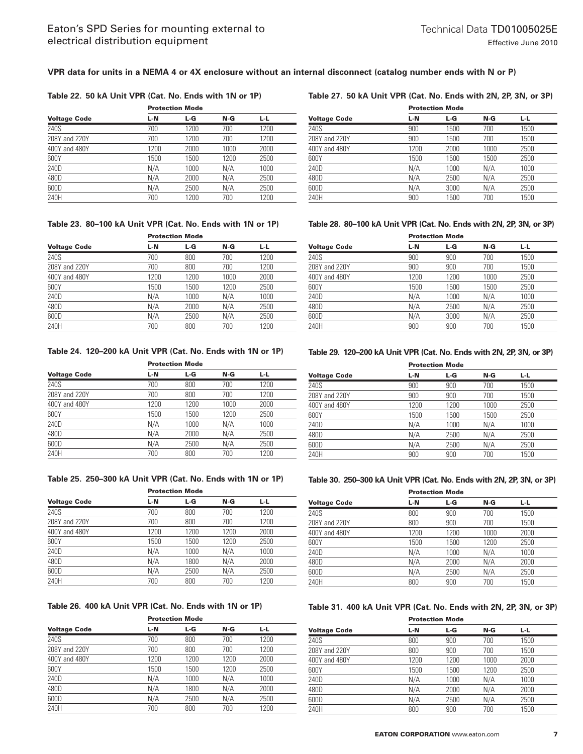#### **VPR data for units in a NEMA 4 or 4X enclosure without an internal disconnect (catalog number ends with N or P)**

#### **Table 22. 50 kA Unit VPR (Cat. No. Ends with 1N or 1P)**

| Table 27. 50 kA Unit VPR (Cat. No. Ends with 2N, 2P, 3N, or 3P) |  |
|-----------------------------------------------------------------|--|
|-----------------------------------------------------------------|--|

|                     | <b>Protection Mode</b> |      |      |      |  |
|---------------------|------------------------|------|------|------|--|
| <b>Voltage Code</b> | L-N                    | L-G  | N-G  | L-L  |  |
| 240S                | 700                    | 1200 | 700  | 1200 |  |
| 208Y and 220Y       | 700                    | 1200 | 700  | 1200 |  |
| 400Y and 480Y       | 1200                   | 2000 | 1000 | 2000 |  |
| 600Y                | 1500                   | 1500 | 1200 | 2500 |  |
| 240D                | N/A                    | 1000 | N/A  | 1000 |  |
| 480D                | N/A                    | 2000 | N/A  | 2500 |  |
| 600D                | N/A                    | 2500 | N/A  | 2500 |  |
| 240H                | 700                    | 1200 | 700  | 1200 |  |

#### **Table 23. 80–100 kA Unit VPR (Cat. No. Ends with 1N or 1P)**

|                     | <b>Protection Mode</b> |      |      |      |  |
|---------------------|------------------------|------|------|------|--|
| <b>Voltage Code</b> | L-N                    | L-G  | N-G  | L-L  |  |
| 240S                | 700                    | 800  | 700  | 1200 |  |
| 208Y and 220Y       | 700                    | 800  | 700  | 1200 |  |
| 400Y and 480Y       | 1200                   | 1200 | 1000 | 2000 |  |
| 600Y                | 1500                   | 1500 | 1200 | 2500 |  |
| 240D                | N/A                    | 1000 | N/A  | 1000 |  |
| 480D                | N/A                    | 2000 | N/A  | 2500 |  |
| 600D                | N/A                    | 2500 | N/A  | 2500 |  |
| 240H                | 700                    | 800  | 700  | 1200 |  |

#### **Table 24. 120–200 kA Unit VPR (Cat. No. Ends with 1N or 1P)**

| <b>Voltage Code</b> |      | <b>Protection Mode</b> |      |      |  |  |
|---------------------|------|------------------------|------|------|--|--|
|                     | L-N  | L-G                    | N-G  | L-L. |  |  |
| 240S                | 700  | 800                    | 700  | 1200 |  |  |
| 208Y and 220Y       | 700  | 800                    | 700  | 1200 |  |  |
| 400Y and 480Y       | 1200 | 1200                   | 1000 | 2000 |  |  |
| 600Y                | 1500 | 1500                   | 1200 | 2500 |  |  |
| 240D                | N/A  | 1000                   | N/A  | 1000 |  |  |
| 480D                | N/A  | 2000                   | N/A  | 2500 |  |  |
| 600D                | N/A  | 2500                   | N/A  | 2500 |  |  |
| 240H                | 700  | 800                    | 700  | 1200 |  |  |
|                     |      |                        |      |      |  |  |

#### **Table 25. 250–300 kA Unit VPR (Cat. No. Ends with 1N or 1P)**

| <b>Voltage Code</b> |      | <b>Protection Mode</b> |      |      |  |  |
|---------------------|------|------------------------|------|------|--|--|
|                     | L-N  | L-G                    | N-G  | L-L  |  |  |
| 240S                | 700  | 800                    | 700  | 1200 |  |  |
| 208Y and 220Y       | 700  | 800                    | 700  | 1200 |  |  |
| 400Y and 480Y       | 1200 | 1200                   | 1200 | 2000 |  |  |
| 600Y                | 1500 | 1500                   | 1200 | 2500 |  |  |
| 240D                | N/A  | 1000                   | N/A  | 1000 |  |  |
| 480D                | N/A  | 1800                   | N/A  | 2000 |  |  |
| 600D                | N/A  | 2500                   | N/A  | 2500 |  |  |
| 240H                | 700  | 800                    | 700  | 1200 |  |  |
|                     |      |                        |      |      |  |  |

#### **Table 26. 400 kA Unit VPR (Cat. No. Ends with 1N or 1P)**

|                     | <b>Protection Mode</b> |      |      |      |  |
|---------------------|------------------------|------|------|------|--|
| <b>Voltage Code</b> | L-N                    | L-G  | N-G  | L-L  |  |
| 240S                | 700                    | 800  | 700  | 1200 |  |
| 208Y and 220Y       | 700                    | 800  | 700  | 1200 |  |
| 400Y and 480Y       | 1200                   | 1200 | 1200 | 2000 |  |
| 600Y                | 1500                   | 1500 | 1200 | 2500 |  |
| 240D                | N/A                    | 1000 | N/A  | 1000 |  |
| 480D                | N/A                    | 1800 | N/A  | 2000 |  |
| 600D                | N/A                    | 2500 | N/A  | 2500 |  |
| 240H                | 700                    | 800  | 700  | 1200 |  |

| <b>Voltage Code</b> | <b>Protection Mode</b> |      |      |      |  |
|---------------------|------------------------|------|------|------|--|
|                     | L-N                    | L-G  | N-G  | L-L  |  |
| 240S                | 900                    | 1500 | 700  | 1500 |  |
| 208Y and 220Y       | 900                    | 1500 | 700  | 1500 |  |
| 400Y and 480Y       | 1200                   | 2000 | 1000 | 2500 |  |
| 600Y                | 1500                   | 1500 | 1500 | 2500 |  |
| 240D                | N/A                    | 1000 | N/A  | 1000 |  |
| 480D                | N/A                    | 2500 | N/A  | 2500 |  |
| 600D                | N/A                    | 3000 | N/A  | 2500 |  |
| 240H                | 900                    | 1500 | 700  | 1500 |  |

#### **Table 28. 80–100 kA Unit VPR (Cat. No. Ends with 2N, 2P, 3N, or 3P)**

|                     | <b>Protection Mode</b> |      |      |      |  |
|---------------------|------------------------|------|------|------|--|
| <b>Voltage Code</b> | L-N                    | L-G  | N-G  | L-L  |  |
| 240S                | 900                    | 900  | 700  | 1500 |  |
| 208Y and 220Y       | 900                    | 900  | 700  | 1500 |  |
| 400Y and 480Y       | 1200                   | 1200 | 1000 | 2500 |  |
| 600Y                | 1500                   | 1500 | 1500 | 2500 |  |
| 240D                | N/A                    | 1000 | N/A  | 1000 |  |
| 480D                | N/A                    | 2500 | N/A  | 2500 |  |
| 600D                | N/A                    | 3000 | N/A  | 2500 |  |
| 240H                | 900                    | 900  | 700  | 1500 |  |

#### **Table 29. 120–200 kA Unit VPR (Cat. No. Ends with 2N, 2P, 3N, or 3P)**

| <b>Protection Mode</b> |      |      |      |  |
|------------------------|------|------|------|--|
| L-N                    | L-G  | N-G  | L-L  |  |
| 900                    | 900  | 700  | 1500 |  |
| 900                    | 900  | 700  | 1500 |  |
| 1200                   | 1200 | 1000 | 2500 |  |
| 1500                   | 1500 | 1500 | 2500 |  |
| N/A                    | 1000 | N/A  | 1000 |  |
| N/A                    | 2500 | N/A  | 2500 |  |
| N/A                    | 2500 | N/A  | 2500 |  |
| 900                    | 900  | 700  | 1500 |  |
|                        |      |      |      |  |

#### **Table 30. 250–300 kA Unit VPR (Cat. No. Ends with 2N, 2P, 3N, or 3P)**

|                     |      | <b>Protection Mode</b> |      |      |  |  |
|---------------------|------|------------------------|------|------|--|--|
| <b>Voltage Code</b> | L-N  | L-G                    | N-G  | L-L  |  |  |
| 240S                | 800  | 900                    | 700  | 1500 |  |  |
| 208Y and 220Y       | 800  | 900                    | 700  | 1500 |  |  |
| 400Y and 480Y       | 1200 | 1200                   | 1000 | 2000 |  |  |
| 600Y                | 1500 | 1500                   | 1200 | 2500 |  |  |
| 240D                | N/A  | 1000                   | N/A  | 1000 |  |  |
| 480D                | N/A  | 2000                   | N/A  | 2000 |  |  |
| 600D                | N/A  | 2500                   | N/A  | 2500 |  |  |
| 240H                | 800  | 900                    | 700  | 1500 |  |  |
|                     |      |                        |      |      |  |  |

#### **Table 31. 400 kA Unit VPR (Cat. No. Ends with 2N, 2P, 3N, or 3P)** Protection Mode

|                     |      | Protection Mode |      |      |  |  |
|---------------------|------|-----------------|------|------|--|--|
| <b>Voltage Code</b> | L-N  | L-G             | N-G  | L-L  |  |  |
| 240S                | 800  | 900             | 700  | 1500 |  |  |
| 208Y and 220Y       | 800  | 900             | 700  | 1500 |  |  |
| 400Y and 480Y       | 1200 | 1200            | 1000 | 2000 |  |  |
| 600Y                | 1500 | 1500            | 1200 | 2500 |  |  |
| 240D                | N/A  | 1000            | N/A  | 1000 |  |  |
| 480D                | N/A  | 2000            | N/A  | 2000 |  |  |
| 600D                | N/A  | 2500            | N/A  | 2500 |  |  |
| 240H                | 800  | 900             | 700  | 1500 |  |  |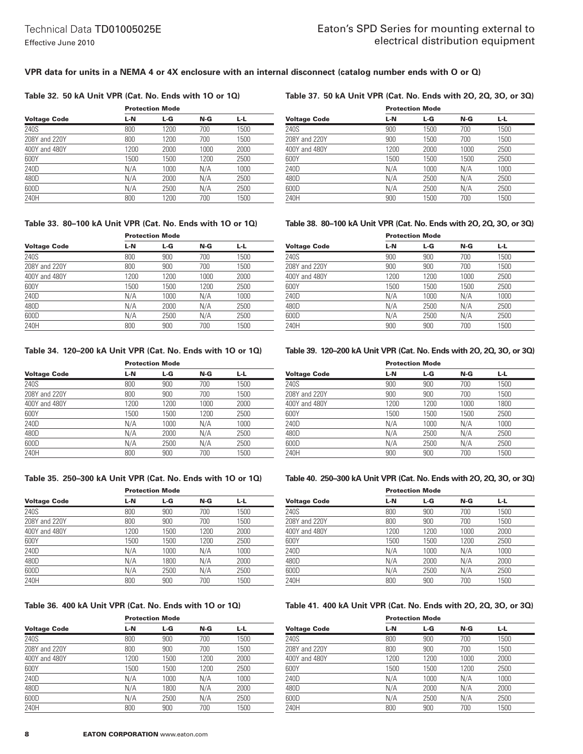#### **VPR data for units in a NEMA 4 or 4X enclosure with an internal disconnect (catalog number ends with O or Q)**

#### **Table 32. 50 kA Unit VPR (Cat. No. Ends with 1O or 1Q)**

#### **Table 37. 50 kA Unit VPR (Cat. No. Ends with 2O, 2Q, 3O, or 3Q)**

|                     | .    |      |      |      |  |
|---------------------|------|------|------|------|--|
| <b>Voltage Code</b> | L-N  | L-G  | N-G  | L-L. |  |
| 240S                | 800  | 1200 | 700  | 1500 |  |
| 208Y and 220Y       | 800  | 1200 | 700  | 1500 |  |
| 400Y and 480Y       | 1200 | 2000 | 1000 | 2000 |  |
| 600Y                | 1500 | 1500 | 1200 | 2500 |  |
| 240D                | N/A  | 1000 | N/A  | 1000 |  |
| 480D                | N/A  | 2000 | N/A  | 2500 |  |
| 600D                | N/A  | 2500 | N/A  | 2500 |  |
| 240H                | 800  | 1200 | 700  | 1500 |  |

Protection Mode

# Protection Mode

| <b>Voltage Code</b> | L-N  | L-G  | N-G  | L-L  |  |
|---------------------|------|------|------|------|--|
| 240S                | 900  | 1500 | 700  | 1500 |  |
| 208Y and 220Y       | 900  | 1500 | 700  | 1500 |  |
| 400Y and 480Y       | 1200 | 2000 | 1000 | 2500 |  |
| 600Y                | 1500 | 1500 | 1500 | 2500 |  |
| 240D                | N/A  | 1000 | N/A  | 1000 |  |
| 480D                | N/A  | 2500 | N/A  | 2500 |  |
| 600D                | N/A  | 2500 | N/A  | 2500 |  |
| 240H                | 900  | 1500 | 700  | 1500 |  |

#### **Table 33. 80–100 kA Unit VPR (Cat. No. Ends with 1O or 1Q)**

|                     | <b>Protection Mode</b> |      |      |      |  |
|---------------------|------------------------|------|------|------|--|
| <b>Voltage Code</b> | L-N                    | L-G  | N-G  | L-L  |  |
| 240S                | 800                    | 900  | 700  | 1500 |  |
| 208Y and 220Y       | 800                    | 900  | 700  | 1500 |  |
| 400Y and 480Y       | 1200                   | 1200 | 1000 | 2000 |  |
| 600Y                | 1500                   | 1500 | 1200 | 2500 |  |
| 240D                | N/A                    | 1000 | N/A  | 1000 |  |
| 480D                | N/A                    | 2000 | N/A  | 2500 |  |
| 600D                | N/A                    | 2500 | N/A  | 2500 |  |
| 240H                | 800                    | 900  | 700  | 1500 |  |

#### **Table 34. 120–200 kA Unit VPR (Cat. No. Ends with 1O or 1Q)**

|                     | <b>Protection Mode</b> |      |      |      |  |
|---------------------|------------------------|------|------|------|--|
| <b>Voltage Code</b> | L-N                    | L-G  | N-G  | L-L. |  |
| 240S                | 800                    | 900  | 700  | 1500 |  |
| 208Y and 220Y       | 800                    | 900  | 700  | 1500 |  |
| 400Y and 480Y       | 1200                   | 1200 | 1000 | 2000 |  |
| 600Y                | 1500                   | 1500 | 1200 | 2500 |  |
| 240D                | N/A                    | 1000 | N/A  | 1000 |  |
| 480D                | N/A                    | 2000 | N/A  | 2500 |  |
| 600D                | N/A                    | 2500 | N/A  | 2500 |  |
| 240H                | 800                    | 900  | 700  | 1500 |  |

#### **Table 35. 250–300 kA Unit VPR (Cat. No. Ends with 1O or 1Q)**

|                     | <b>Protection Mode</b> |      |      |      |  |
|---------------------|------------------------|------|------|------|--|
| <b>Voltage Code</b> | L-N                    | L-G  | N-G  | L-L  |  |
| 240S                | 800                    | 900  | 700  | 1500 |  |
| 208Y and 220Y       | 800                    | 900  | 700  | 1500 |  |
| 400Y and 480Y       | 1200                   | 1500 | 1200 | 2000 |  |
| 600Y                | 1500                   | 1500 | 1200 | 2500 |  |
| 240D                | N/A                    | 1000 | N/A  | 1000 |  |
| 480D                | N/A                    | 1800 | N/A  | 2000 |  |
| 600D                | N/A                    | 2500 | N/A  | 2500 |  |
| 240H                | 800                    | 900  | 700  | 1500 |  |

#### **Table 36. 400 kA Unit VPR (Cat. No. Ends with 1O or 1Q)**

|                     |      | <b>Protection Mode</b> |      |      |  |  |
|---------------------|------|------------------------|------|------|--|--|
| <b>Voltage Code</b> | L-N  | L-G                    | N-G  | 나니   |  |  |
| 240S                | 800  | 900                    | 700  | 1500 |  |  |
| 208Y and 220Y       | 800  | 900                    | 700  | 1500 |  |  |
| 400Y and 480Y       | 1200 | 1500                   | 1200 | 2000 |  |  |
| 600Y                | 1500 | 1500                   | 1200 | 2500 |  |  |
| 240D                | N/A  | 1000                   | N/A  | 1000 |  |  |
| 480D                | N/A  | 1800                   | N/A  | 2000 |  |  |
| 600D                | N/A  | 2500                   | N/A  | 2500 |  |  |
| 240H                | 800  | 900                    | 700  | 1500 |  |  |

#### **Table 38. 80–100 kA Unit VPR (Cat. No. Ends with 2O, 2Q, 3O, or 3Q)**

|                     | <b>Protection Mode</b> |      |      |      |  |
|---------------------|------------------------|------|------|------|--|
| <b>Voltage Code</b> | L-N                    | L-G  | N-G  | L-L  |  |
| 240S                | 900                    | 900  | 700  | 1500 |  |
| 208Y and 220Y       | 900                    | 900  | 700  | 1500 |  |
| 400Y and 480Y       | 1200                   | 1200 | 1000 | 2500 |  |
| 600Y                | 1500                   | 1500 | 1500 | 2500 |  |
| 240D                | N/A                    | 1000 | N/A  | 1000 |  |
| 480D                | N/A                    | 2500 | N/A  | 2500 |  |
| 600D                | N/A                    | 2500 | N/A  | 2500 |  |
| 240H                | 900                    | 900  | 700  | 1500 |  |

#### **Table 39. 120–200 kA Unit VPR (Cat. No. Ends with 2O, 2Q, 3O, or 3Q)**

| <b>Protection Mode</b> |      |      |      |  |
|------------------------|------|------|------|--|
| L-N                    | L-G  | N-G  | 나니   |  |
| 900                    | 900  | 700  | 1500 |  |
| 900                    | 900  | 700  | 1500 |  |
| 1200                   | 1200 | 1000 | 1800 |  |
| 1500                   | 1500 | 1500 | 2500 |  |
| N/A                    | 1000 | N/A  | 1000 |  |
| N/A                    | 2500 | N/A  | 2500 |  |
| N/A                    | 2500 | N/A  | 2500 |  |
| 900                    | 900  | 700  | 1500 |  |
|                        |      |      |      |  |

#### **Table 40. 250–300 kA Unit VPR (Cat. No. Ends with 2O, 2Q, 3O, or 3Q)**

|                     | <b>Protection Mode</b> |      |      |      |  |
|---------------------|------------------------|------|------|------|--|
| <b>Voltage Code</b> | L-N                    | L-G  | N-G  | L-L  |  |
| 240S                | 800                    | 900  | 700  | 1500 |  |
| 208Y and 220Y       | 800                    | 900  | 700  | 1500 |  |
| 400Y and 480Y       | 1200                   | 1200 | 1000 | 2000 |  |
| 600Y                | 1500                   | 1500 | 1200 | 2500 |  |
| 240D                | N/A                    | 1000 | N/A  | 1000 |  |
| 480D                | N/A                    | 2000 | N/A  | 2000 |  |
| 600D                | N/A                    | 2500 | N/A  | 2500 |  |
| 240H                | 800                    | 900  | 700  | 1500 |  |

#### **Table 41. 400 kA Unit VPR (Cat. No. Ends with 2O, 2Q, 3O, or 3Q)**

|                     |      | <b>Protection Mode</b> |      |      |  |
|---------------------|------|------------------------|------|------|--|
| <b>Voltage Code</b> | L-N  | L-G                    | N-G  | L-L. |  |
| 240S                | 800  | 900                    | 700  | 1500 |  |
| 208Y and 220Y       | 800  | 900                    | 700  | 1500 |  |
| 400Y and 480Y       | 1200 | 1200                   | 1000 | 2000 |  |
| 600Y                | 1500 | 1500                   | 1200 | 2500 |  |
| 240D                | N/A  | 1000                   | N/A  | 1000 |  |
| 480D                | N/A  | 2000                   | N/A  | 2000 |  |
| 600D                | N/A  | 2500                   | N/A  | 2500 |  |
| 240H                | 800  | 900                    | 700  | 1500 |  |
|                     |      |                        |      |      |  |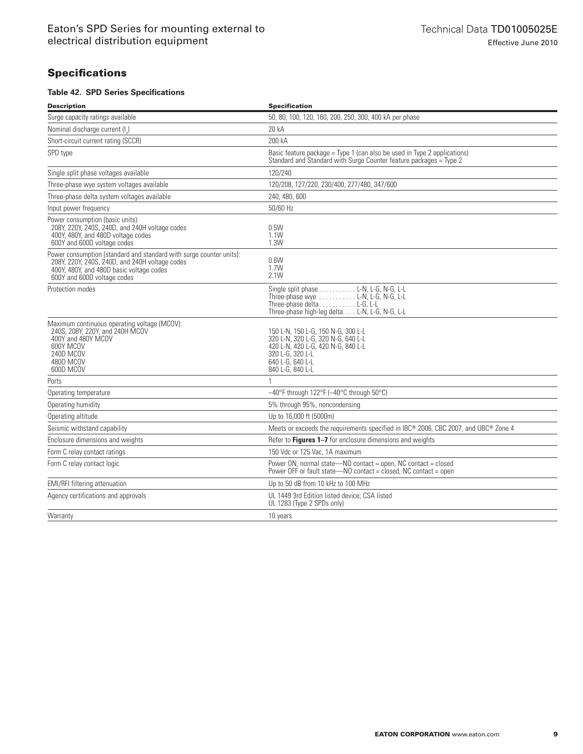# **Specifications**

#### **Table 42. SPD Series Specifications**

| Description                                                                                                                                                                                      | <b>Specification</b>                                                                                                                                                           |
|--------------------------------------------------------------------------------------------------------------------------------------------------------------------------------------------------|--------------------------------------------------------------------------------------------------------------------------------------------------------------------------------|
| Surge capacity ratings available                                                                                                                                                                 | 50, 80, 100, 120, 160, 200, 250, 300, 400 kA per phase                                                                                                                         |
| Nominal discharge current (I)                                                                                                                                                                    | 20 kA                                                                                                                                                                          |
| Short-circuit current rating (SCCR)                                                                                                                                                              | 200 kA                                                                                                                                                                         |
| SPD type                                                                                                                                                                                         | Basic feature package = Type 1 (can also be used in Type 2 applications)<br>Standard and Standard with Surge Counter feature packages = Type 2                                 |
| Single split phase voltages available                                                                                                                                                            | 120/240                                                                                                                                                                        |
| Three-phase wye system voltages available                                                                                                                                                        | 120/208, 127/220, 230/400, 277/480, 347/600                                                                                                                                    |
| Three-phase delta system voltages available                                                                                                                                                      | 240, 480, 600                                                                                                                                                                  |
| Input power frequency                                                                                                                                                                            | 50/60 Hz                                                                                                                                                                       |
| Power consumption (basic units):<br>208Y, 220Y, 240S, 240D, and 240H voltage codes<br>400Y, 480Y, and 480D voltage codes<br>600Y and 600D voltage codes                                          | 0.5W<br>1.1W<br>1.3W                                                                                                                                                           |
| Power consumption (standard and standard with surge counter units):<br>208Y, 220Y, 240S, 240D, and 240H voltage codes<br>400Y, 480Y, and 480D basic voltage codes<br>600Y and 600D voltage codes | 0.6W<br>1.7W<br>2.1W                                                                                                                                                           |
| Protection modes                                                                                                                                                                                 | Single split phase L-N, L-G, N-G, L-L<br>Three-phase wye $\dots \dots \dots$ L-N, L-G, N-G, L-L<br>Three-phase deltaL-G, L-L<br>Three-phase high-leg delta. L-N, L-G, N-G, L-L |
| Maximum continuous operating voltage (MCOV):<br>240S, 208Y, 220Y, and 240H MCOV<br>400Y and 480Y MCOV<br>600Y MCOV<br>240D MCOV<br>480D MCOV<br>600D MCOV                                        | 150 L-N, 150 L-G, 150 N-G, 300 L-L<br>320 L-N, 320 L-G, 320 N-G, 640 L-L<br>420 L-N, 420 L-G, 420 N-G, 840 L-L<br>320 L-G, 320 L-L<br>640 L-G, 640 L-L<br>840 L-G, 840 L-L     |
| Ports                                                                                                                                                                                            |                                                                                                                                                                                |
| Operating temperature                                                                                                                                                                            | -40°F through 122°F (-40°C through 50°C)                                                                                                                                       |
| Operating humidity                                                                                                                                                                               | 5% through 95%, noncondensing                                                                                                                                                  |
| Operating altitude                                                                                                                                                                               | Up to 16,000 ft (5000m)                                                                                                                                                        |
| Seismic withstand capability                                                                                                                                                                     | Meets or exceeds the requirements specified in IBC® 2006, CBC 2007, and UBC® Zone 4                                                                                            |
| Enclosure dimensions and weights                                                                                                                                                                 | Refer to Figures 1-7 for enclosure dimensions and weights                                                                                                                      |
| Form C relay contact ratings                                                                                                                                                                     | 150 Vdc or 125 Vac, 1A maximum                                                                                                                                                 |
| Form C relay contact logic                                                                                                                                                                       | Power ON, normal state-NO contact = open, NC contact = closed<br>Power OFF or fault state-NO contact = closed, NC contact = open                                               |
| <b>EMI/RFI</b> filtering attenuation                                                                                                                                                             | Up to 50 dB from 10 kHz to 100 MHz                                                                                                                                             |
| Agency certifications and approvals                                                                                                                                                              | UL 1449 3rd Edition listed device; CSA listed<br>UL 1283 (Type 2 SPDs only)                                                                                                    |
| Warranty                                                                                                                                                                                         | 10 years                                                                                                                                                                       |
|                                                                                                                                                                                                  |                                                                                                                                                                                |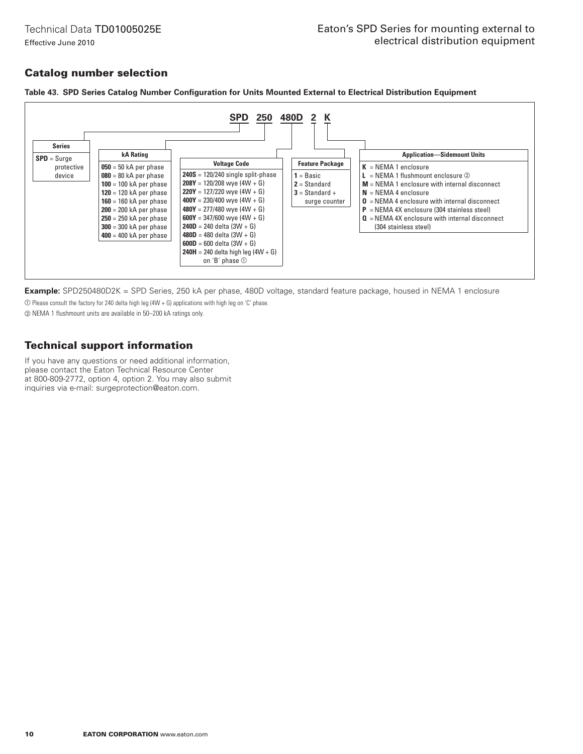Technical Data TD01005025E Effective June 2010

# Catalog number selection



**Table 43. SPD Series Catalog Number Configuration for Units Mounted External to Electrical Distribution Equipment**

**Example:** SPD250480D2K = SPD Series, 250 kA per phase, 480D voltage, standard feature package, housed in NEMA 1 enclosure

 $\overline{O}$  Please consult the factory for 240 delta high leg (4W + G) applications with high leg on 'C' phase.

b NEMA 1 flushmount units are available in 50–200 kA ratings only.

# Technical support information

If you have any questions or need additional information, please contact the Eaton Technical Resource Center at 800-809-2772, option 4, option 2. You may also submit inquiries via e-mail: surgeprotection@eaton.com.